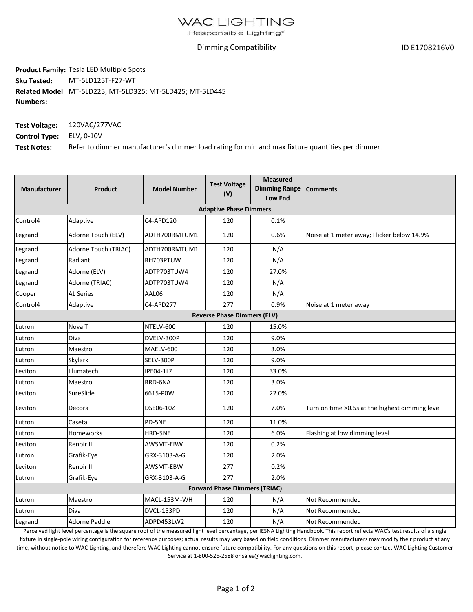## **WAC LIGHTING**

Responsible Lighting<sup>®</sup>

## Dimming Compatibility

ID E1708216V0

**Product Family:** Tesla LED Multiple Spots **Sku Tested: Related Model** MT‐5LD225; MT‐5LD325; MT‐5LD425; MT‐5LD445 **Numbers:** MT‐5LD125T‐F27‐WT

| <b>Test Voltage:</b>            | 120VAC/277VAC                                                                                    |
|---------------------------------|--------------------------------------------------------------------------------------------------|
| <b>Control Type:</b> ELV, 0-10V |                                                                                                  |
| <b>Test Notes:</b>              | Refer to dimmer manufacturer's dimmer load rating for min and max fixture quantities per dimmer. |

| Manufacturer                         | <b>Product</b>       | <b>Model Number</b> | <b>Test Voltage</b><br>(V)         | <b>Measured</b>      |                                                  |  |  |  |  |
|--------------------------------------|----------------------|---------------------|------------------------------------|----------------------|--------------------------------------------------|--|--|--|--|
|                                      |                      |                     |                                    | <b>Dimming Range</b> | <b>Comments</b>                                  |  |  |  |  |
|                                      |                      |                     |                                    | <b>Low End</b>       |                                                  |  |  |  |  |
| <b>Adaptive Phase Dimmers</b>        |                      |                     |                                    |                      |                                                  |  |  |  |  |
| Control4                             | Adaptive             | C4-APD120           | 120                                | 0.1%                 |                                                  |  |  |  |  |
| Legrand                              | Adorne Touch (ELV)   | ADTH700RMTUM1       | 120                                | 0.6%                 | Noise at 1 meter away; Flicker below 14.9%       |  |  |  |  |
| Legrand                              | Adorne Touch (TRIAC) | ADTH700RMTUM1       | 120                                | N/A                  |                                                  |  |  |  |  |
| Legrand                              | Radiant              | RH703PTUW           | 120                                | N/A                  |                                                  |  |  |  |  |
| Legrand                              | Adorne (ELV)         | ADTP703TUW4         | 120                                | 27.0%                |                                                  |  |  |  |  |
| Legrand                              | Adorne (TRIAC)       | ADTP703TUW4         | 120                                | N/A                  |                                                  |  |  |  |  |
| Cooper                               | <b>AL Series</b>     | AAL06               | 120                                | N/A                  |                                                  |  |  |  |  |
| Control4                             | Adaptive             | C4-APD277           | 277                                | 0.9%                 | Noise at 1 meter away                            |  |  |  |  |
|                                      |                      |                     | <b>Reverse Phase Dimmers (ELV)</b> |                      |                                                  |  |  |  |  |
| Lutron                               | Nova <sub>T</sub>    | NTELV-600           | 120                                | 15.0%                |                                                  |  |  |  |  |
| Lutron                               | Diva                 | DVELV-300P          | 120                                | 9.0%                 |                                                  |  |  |  |  |
| Lutron                               | Maestro              | MAELV-600           | 120                                | 3.0%                 |                                                  |  |  |  |  |
| Lutron                               | Skylark              | SELV-300P           | 120                                | 9.0%                 |                                                  |  |  |  |  |
| Leviton                              | Illumatech           | IPE04-1LZ           | 120                                | 33.0%                |                                                  |  |  |  |  |
| Lutron                               | Maestro              | RRD-6NA             | 120                                | 3.0%                 |                                                  |  |  |  |  |
| Leviton                              | SureSlide            | 6615-P0W            | 120                                | 22.0%                |                                                  |  |  |  |  |
| Leviton                              | Decora               | DSE06-10Z           | 120                                | 7.0%                 | Turn on time > 0.5s at the highest dimming level |  |  |  |  |
| Lutron                               | Caseta               | PD-5NE              | 120                                | 11.0%                |                                                  |  |  |  |  |
| Lutron                               | <b>Homeworks</b>     | HRD-5NE             | 120                                | 6.0%                 | Flashing at low dimming level                    |  |  |  |  |
| Leviton                              | Renoir II            | AWSMT-EBW           | 120                                | 0.2%                 |                                                  |  |  |  |  |
| Lutron                               | Grafik-Eye           | GRX-3103-A-G        | 120                                | 2.0%                 |                                                  |  |  |  |  |
| Leviton                              | Renoir II            | AWSMT-EBW           | 277                                | 0.2%                 |                                                  |  |  |  |  |
| Lutron                               | Grafik-Eye           | GRX-3103-A-G        | 277                                | 2.0%                 |                                                  |  |  |  |  |
| <b>Forward Phase Dimmers (TRIAC)</b> |                      |                     |                                    |                      |                                                  |  |  |  |  |
| Lutron                               | Maestro              | MACL-153M-WH        | 120                                | N/A                  | Not Recommended                                  |  |  |  |  |
| Lutron                               | Diva                 | DVCL-153PD          | 120                                | N/A                  | Not Recommended                                  |  |  |  |  |
| Legrand                              | Adorne Paddle        | ADPD453LW2          | 120                                | N/A                  | Not Recommended                                  |  |  |  |  |

Perceived light level percentage is the square root of the measured light level percentage, per IESNA Lighting Handbook. This report reflects WAC's test results of a single fixture in single‐pole wiring configuration for reference purposes; actual results may vary based on field conditions. Dimmer manufacturers may modify their product at any time, without notice to WAC Lighting, and therefore WAC Lighting cannot ensure future compatibility. For any questions on this report, please contact WAC Lighting Customer Service at 1‐800‐526‐2588 or sales@waclighting.com.